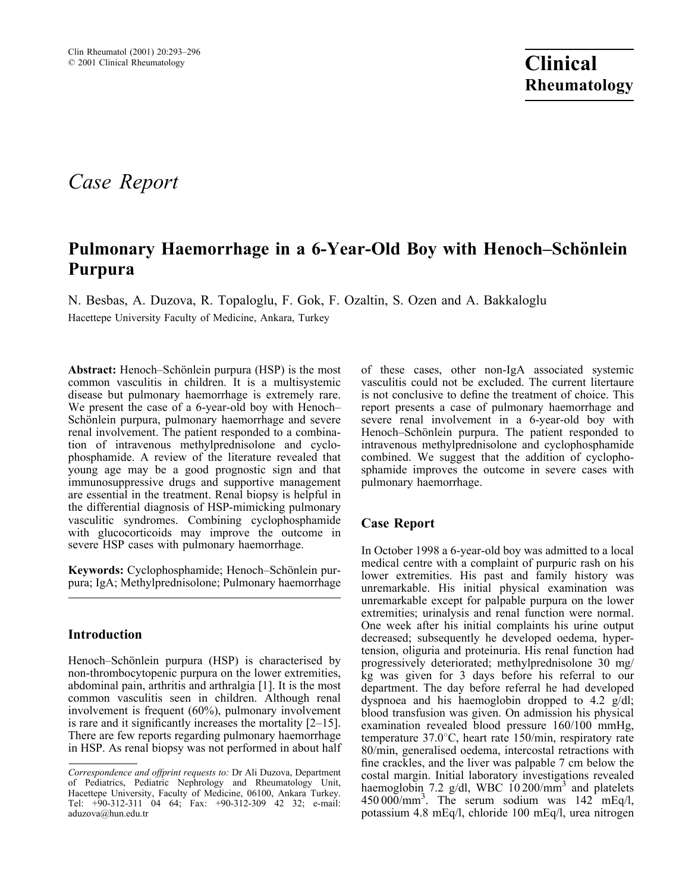# Case Report

## Pulmonary Haemorrhage in a 6-Year-Old Boy with Henoch–Schönlein Purpura

N. Besbas, A. Duzova, R. Topaloglu, F. Gok, F. Ozaltin, S. Ozen and A. Bakkaloglu Hacettepe University Faculty of Medicine, Ankara, Turkey

Abstract: Henoch–Schönlein purpura (HSP) is the most common vasculitis in children. It is a multisystemic disease but pulmonary haemorrhage is extremely rare. We present the case of a 6-year-old boy with Henoch– Schönlein purpura, pulmonary haemorrhage and severe renal involvement. The patient responded to a combination of intravenous methylprednisolone and cyclophosphamide. A review of the literature revealed that young age may be a good prognostic sign and that immunosuppressive drugs and supportive management are essential in the treatment. Renal biopsy is helpful in the differential diagnosis of HSP-mimicking pulmonary vasculitic syndromes. Combining cyclophosphamide with glucocorticoids may improve the outcome in severe HSP cases with pulmonary haemorrhage.

Keywords: Cyclophosphamide; Henoch–Schönlein purpura; IgA; Methylprednisolone; Pulmonary haemorrhage

### Introduction

Henoch–Schönlein purpura (HSP) is characterised by non-thrombocytopenic purpura on the lower extremities, abdominal pain, arthritis and arthralgia [1]. It is the most common vasculitis seen in children. Although renal involvement is frequent (60%), pulmonary involvement is rare and it significantly increases the mortality [2–15]. There are few reports regarding pulmonary haemorrhage in HSP. As renal biopsy was not performed in about half

of these cases, other non-IgA associated systemic vasculitis could not be excluded. The current litertaure is not conclusive to define the treatment of choice. This report presents a case of pulmonary haemorrhage and severe renal involvement in a 6-year-old boy with Henoch–Schönlein purpura. The patient responded to intravenous methylprednisolone and cyclophosphamide combined. We suggest that the addition of cyclophosphamide improves the outcome in severe cases with pulmonary haemorrhage.

#### Case Report

In October 1998 a 6-year-old boy was admitted to a local medical centre with a complaint of purpuric rash on his lower extremities. His past and family history was unremarkable. His initial physical examination was unremarkable except for palpable purpura on the lower extremities; urinalysis and renal function were normal. One week after his initial complaints his urine output decreased; subsequently he developed oedema, hypertension, oliguria and proteinuria. His renal function had progressively deteriorated; methylprednisolone 30 mg/ kg was given for 3 days before his referral to our department. The day before referral he had developed dyspnoea and his haemoglobin dropped to 4.2 g/dl; blood transfusion was given. On admission his physical examination revealed blood pressure 160/100 mmHg, temperature  $37.0^{\circ}$ C, heart rate 150/min, respiratory rate 80/min, generalised oedema, intercostal retractions with fine crackles, and the liver was palpable 7 cm below the costal margin. Initial laboratory investigations revealed haemoglobin 7.2 g/dl, WBC 10 200/mm<sup>3</sup> and platelets  $450\,000/\text{mm}^3$ . The serum sodium was  $142 \text{ mEq/l}$ , potassium 4.8 mEq/l, chloride 100 mEq/l, urea nitrogen

Correspondence and offprint requests to: Dr Ali Duzova, Department of Pediatrics, Pediatric Nephrology and Rheumatology Unit, Hacettepe University, Faculty of Medicine, 06100, Ankara Turkey. Tel: +90-312-311 04 64; Fax: +90-312-309 42 32; e-mail: aduzova@hun.edu.tr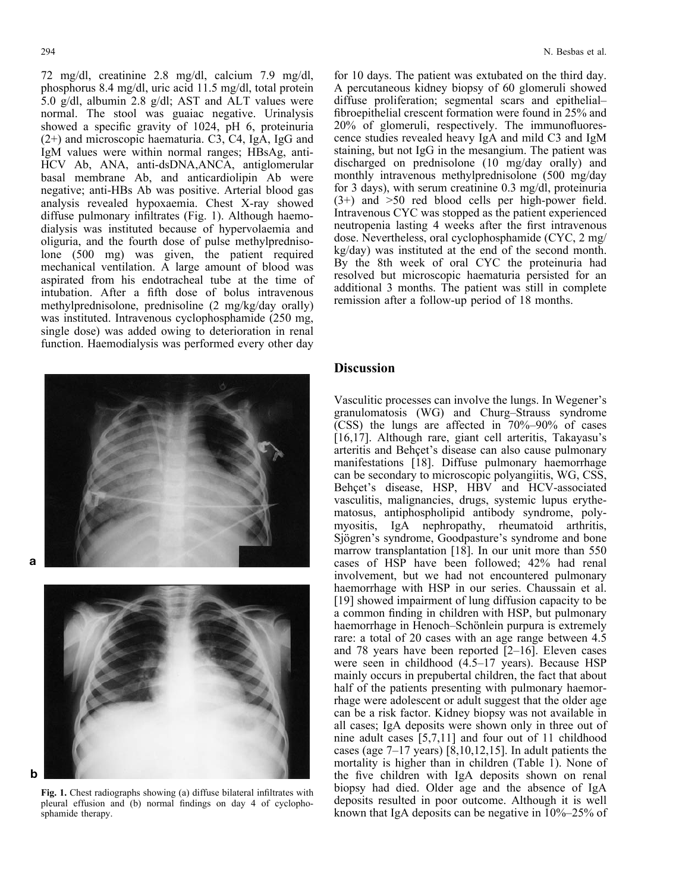72 mg/dl, creatinine 2.8 mg/dl, calcium 7.9 mg/dl, phosphorus 8.4 mg/dl, uric acid 11.5 mg/dl, total protein 5.0 g/dl, albumin 2.8 g/dl; AST and ALT values were normal. The stool was guaiac negative. Urinalysis showed a specific gravity of 1024, pH 6, proteinuria (2+) and microscopic haematuria. C3, C4, IgA, IgG and IgM values were within normal ranges; HBsAg, anti-HCV Ab, ANA, anti-dsDNA,ANCA, antiglomerular basal membrane Ab, and anticardiolipin Ab were negative; anti-HBs Ab was positive. Arterial blood gas analysis revealed hypoxaemia. Chest X-ray showed diffuse pulmonary infiltrates (Fig. 1). Although haemodialysis was instituted because of hypervolaemia and oliguria, and the fourth dose of pulse methylprednisolone (500 mg) was given, the patient required mechanical ventilation. A large amount of blood was aspirated from his endotracheal tube at the time of intubation. After a fifth dose of bolus intravenous methylprednisolone, prednisoline (2 mg/kg/day orally) was instituted. Intravenous cyclophosphamide (250 mg, single dose) was added owing to deterioration in renal function. Haemodialysis was performed every other day

a

b



Fig. 1. Chest radiographs showing (a) diffuse bilateral infiltrates with pleural effusion and (b) normal findings on day 4 of cyclophosphamide therapy.

for 10 days. The patient was extubated on the third day. A percutaneous kidney biopsy of 60 glomeruli showed diffuse proliferation; segmental scars and epithelial– fibroepithelial crescent formation were found in 25% and 20% of glomeruli, respectively. The immunofluorescence studies revealed heavy IgA and mild C3 and IgM staining, but not IgG in the mesangium. The patient was discharged on prednisolone (10 mg/day orally) and monthly intravenous methylprednisolone (500 mg/day for 3 days), with serum creatinine 0.3 mg/dl, proteinuria (3+) and >50 red blood cells per high-power field. Intravenous CYC was stopped as the patient experienced neutropenia lasting 4 weeks after the first intravenous dose. Nevertheless, oral cyclophosphamide (CYC, 2 mg/ kg/day) was instituted at the end of the second month. By the 8th week of oral CYC the proteinuria had resolved but microscopic haematuria persisted for an additional 3 months. The patient was still in complete remission after a follow-up period of 18 months.

#### Discussion

Vasculitic processes can involve the lungs. In Wegener's granulomatosis (WG) and Churg–Strauss syndrome (CSS) the lungs are affected in 70%–90% of cases [16,17]. Although rare, giant cell arteritis, Takayasu's arteritis and Behçet's disease can also cause pulmonary manifestations [18]. Diffuse pulmonary haemorrhage can be secondary to microscopic polyangiitis, WG, CSS, Behcet's disease, HSP, HBV and HCV-associated vasculitis, malignancies, drugs, systemic lupus erythematosus, antiphospholipid antibody syndrome, polymyositis, IgA nephropathy, rheumatoid arthritis, Sjögren's syndrome, Goodpasture's syndrome and bone marrow transplantation [18]. In our unit more than 550 cases of HSP have been followed; 42% had renal involvement, but we had not encountered pulmonary haemorrhage with HSP in our series. Chaussain et al. [19] showed impairment of lung diffusion capacity to be a common finding in children with HSP, but pulmonary haemorrhage in Henoch–Schönlein purpura is extremely rare: a total of 20 cases with an age range between 4.5 and 78 years have been reported [2–16]. Eleven cases were seen in childhood (4.5–17 years). Because HSP mainly occurs in prepubertal children, the fact that about half of the patients presenting with pulmonary haemorrhage were adolescent or adult suggest that the older age can be a risk factor. Kidney biopsy was not available in all cases; IgA deposits were shown only in three out of nine adult cases [5,7,11] and four out of 11 childhood cases (age 7–17 years) [8,10,12,15]. In adult patients the mortality is higher than in children (Table 1). None of the five children with IgA deposits shown on renal biopsy had died. Older age and the absence of IgA deposits resulted in poor outcome. Although it is well known that IgA deposits can be negative in  $10\% - 25\%$  of

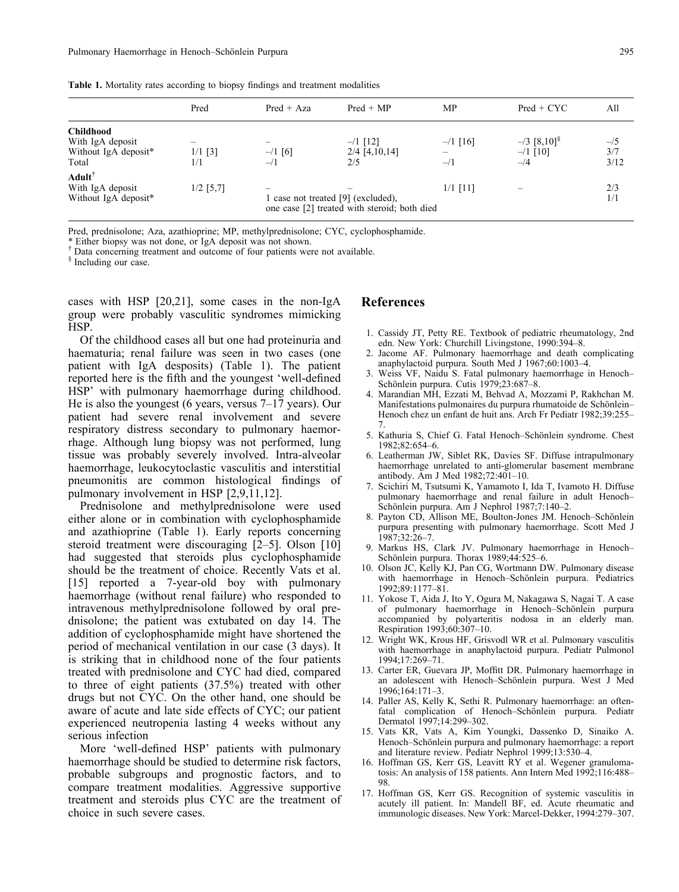|  |  |  |  | <b>Table 1.</b> Mortality rates according to biopsy findings and treatment modalities |  |
|--|--|--|--|---------------------------------------------------------------------------------------|--|
|  |  |  |  |                                                                                       |  |

|                                                                       | Pred             | $Pred + Aza$     | $Pred + MP$                                                                      | MP                  | $Pred + CYC$                                    | All                  |
|-----------------------------------------------------------------------|------------------|------------------|----------------------------------------------------------------------------------|---------------------|-------------------------------------------------|----------------------|
| <b>Childhood</b><br>With IgA deposit<br>Without IgA deposit*<br>Total | $1/1$ [3]<br>1/1 | $-1$ [6]<br>$-1$ | $-1$ [12]<br>$2/4$ [4,10,14]<br>2/5                                              | $-1$ [16]<br>$-1/1$ | $-$ /3 [8,10] <sup>§</sup><br>$-1$ [10]<br>$-4$ | $-15$<br>3/7<br>3/12 |
| $A dult^{\dagger}$<br>With IgA deposit<br>Without IgA deposit*        | $1/2$ [5,7]      |                  | case not treated [9] (excluded),<br>one case [2] treated with steroid; both died | $1/1$ [11]          |                                                 | 2/3<br>1/1           |

Pred, prednisolone; Aza, azathioprine; MP, methylprednisolone; CYC, cyclophosphamide.

\*.Either biopsy was not done, or IgA deposit was not shown. {

 $\dagger$  Data concerning treatment and outcome of four patients were not available.

<sup>§</sup> Including our case.

cases with HSP [20,21], some cases in the non-IgA group were probably vasculitic syndromes mimicking HSP.

Of the childhood cases all but one had proteinuria and haematuria; renal failure was seen in two cases (one patient with IgA desposits) (Table 1). The patient reported here is the fifth and the youngest 'well-defined HSP' with pulmonary haemorrhage during childhood. He is also the youngest (6 years, versus 7–17 years). Our patient had severe renal involvement and severe respiratory distress secondary to pulmonary haemorrhage. Although lung biopsy was not performed, lung tissue was probably severely involved. Intra-alveolar haemorrhage, leukocytoclastic vasculitis and interstitial pneumonitis are common histological findings of pulmonary involvement in HSP [2,9,11,12].

Prednisolone and methylprednisolone were used either alone or in combination with cyclophosphamide and azathioprine (Table 1). Early reports concerning steroid treatment were discouraging [2–5]. Olson [10] had suggested that steroids plus cyclophosphamide should be the treatment of choice. Recently Vats et al. [15] reported a 7-year-old boy with pulmonary haemorrhage (without renal failure) who responded to intravenous methylprednisolone followed by oral prednisolone; the patient was extubated on day 14. The addition of cyclophosphamide might have shortened the period of mechanical ventilation in our case (3 days). It is striking that in childhood none of the four patients treated with prednisolone and CYC had died, compared to three of eight patients (37.5%) treated with other drugs but not CYC. On the other hand, one should be aware of acute and late side effects of CYC; our patient experienced neutropenia lasting 4 weeks without any serious infection

More 'well-defined HSP' patients with pulmonary haemorrhage should be studied to determine risk factors, probable subgroups and prognostic factors, and to compare treatment modalities. Aggressive supportive treatment and steroids plus CYC are the treatment of choice in such severe cases.

#### References

- 1. Cassidy JT, Petty RE. Textbook of pediatric rheumatology, 2nd edn. New York: Churchill Livingstone, 1990:394–8.
- 2. Jacome AF. Pulmonary haemorrhage and death complicating anaphylactoid purpura. South Med J 1967;60:1003–4.
- 3. Weiss VF, Naidu S. Fatal pulmonary haemorrhage in Henoch– Schönlein purpura. Cutis 1979;23:687-8.
- 4. Marandian MH, Ezzati M, Behvad A, Mozzami P, Rakhchan M. Manifestations pulmonaires du purpura rhumatoide de Schönlein– Henoch chez un enfant de huit ans. Arch Fr Pediatr 1982;39:255– 7.
- 5. Kathuria S, Chief G. Fatal Henoch–Schönlein syndrome. Chest 1982;82:654–6.
- 6. Leatherman JW, Siblet RK, Davies SF. Diffuse intrapulmonary haemorrhage unrelated to anti-glomerular basement membrane antibody. Am J Med 1982;72:401–10.
- 7. Scichiri M, Tsutsumi K, Yamamoto I, Ida T, Ivamoto H. Diffuse pulmonary haemorrhage and renal failure in adult Henoch– Schönlein purpura. Am J Nephrol 1987;7:140-2.
- 8. Payton CD, Allison ME, Boulton-Jones JM. Henoch–Schönlein purpura presenting with pulmonary haemorrhage. Scott Med J 1987;32:26–7.
- 9. Markus HS, Clark JV. Pulmonary haemorrhage in Henoch– Schönlein purpura. Thorax 1989;44:525–6.
- 10. Olson JC, Kelly KJ, Pan CG, Wortmann DW. Pulmonary disease with haemorrhage in Henoch–Schönlein purpura. Pediatrics 1992;89:1177–81.
- 11. Yokose T, Aida J, Ito Y, Ogura M, Nakagawa S, Nagai T. A case of pulmonary haemorrhage in Henoch–Schönlein purpura accompanied by polyarteritis nodosa in an elderly man. Respiration 1993;60:307–10.
- 12. Wright WK, Krous HF, Grisvodl WR et al. Pulmonary vasculitis with haemorrhage in anaphylactoid purpura. Pediatr Pulmonol 1994;17:269–71.
- 13. Carter ER, Guevara JP, Moffitt DR. Pulmonary haemorrhage in an adolescent with Henoch–Schönlein purpura. West J Med 1996;164:171–3.
- 14. Paller AS, Kelly K, Sethi R. Pulmonary haemorrhage: an oftenfatal complication of Henoch–Schönlein purpura. Pediatr Dermatol 1997;14:299–302.
- 15. Vats KR, Vats A, Kim Youngki, Dassenko D, Sinaiko A. Henoch–Schönlein purpura and pulmonary haemorrhage: a report and literature review. Pediatr Nephrol 1999;13:530–4.
- 16. Hoffman GS, Kerr GS, Leavitt RY et al. Wegener granulomatosis: An analysis of 158 patients. Ann Intern Med 1992;116:488– 98.
- 17. Hoffman GS, Kerr GS. Recognition of systemic vasculitis in acutely ill patient. In: Mandell BF, ed. Acute rheumatic and immunologic diseases. New York: Marcel-Dekker, 1994:279–307.